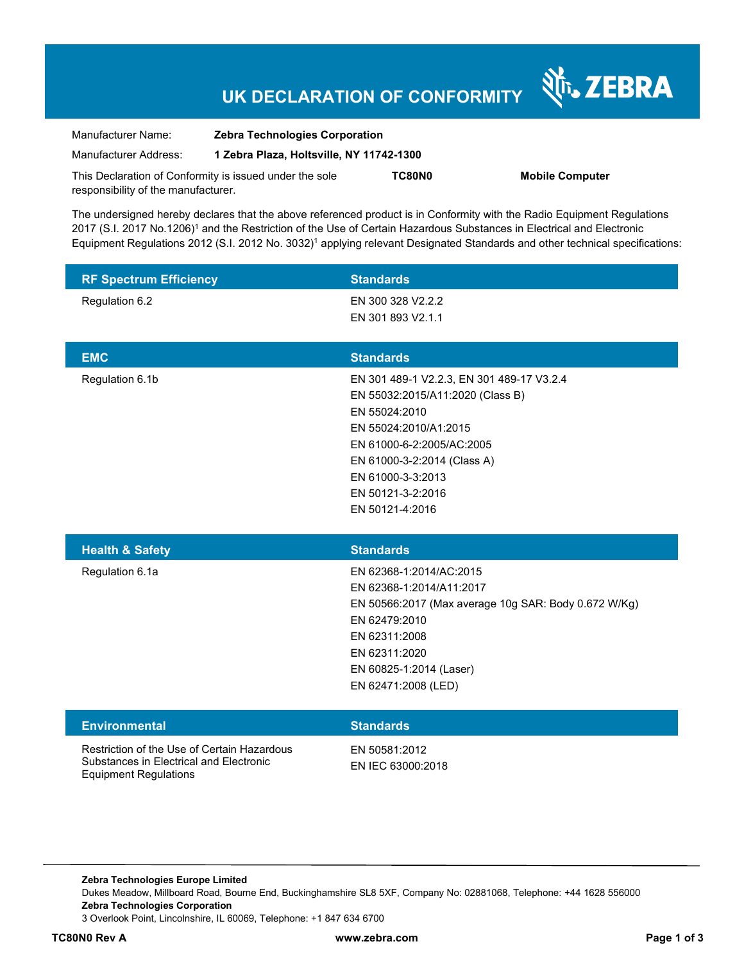# **UK DECLARATION OF CONFORMITY**

Nr. ZEBRA

| Manufacturer Name:                                      | <b>Zebra Technologies Corporation</b>    |               |                        |
|---------------------------------------------------------|------------------------------------------|---------------|------------------------|
| Manufacturer Address:                                   | 1 Zebra Plaza, Holtsville, NY 11742-1300 |               |                        |
| This Declaration of Conformity is issued under the sole |                                          | <b>TC80N0</b> | <b>Mobile Computer</b> |
| responsibility of the manufacturer.                     |                                          |               |                        |

The undersigned hereby declares that the above referenced product is in Conformity with the Radio Equipment Regulations 2017 (S.I. 2017 No.1206)<sup>1</sup> and the Restriction of the Use of Certain Hazardous Substances in Electrical and Electronic Equipment Regulations 2012 (S.I. 2012 No. 3032)<sup>1</sup> applying relevant Designated Standards and other technical specifications:

| <b>RF Spectrum Efficiency</b> | <b>Standards</b>                                                                                                                                                                                                                                 |
|-------------------------------|--------------------------------------------------------------------------------------------------------------------------------------------------------------------------------------------------------------------------------------------------|
| Regulation 6.2                | EN 300 328 V2.2.2<br>EN 301 893 V2.1.1                                                                                                                                                                                                           |
| <b>EMC</b>                    | <b>Standards</b>                                                                                                                                                                                                                                 |
| Regulation 6.1b               | EN 301 489-1 V2.2.3, EN 301 489-17 V3.2.4<br>EN 55032:2015/A11:2020 (Class B)<br>EN 55024:2010<br>EN 55024:2010/A1:2015<br>EN 61000-6-2:2005/AC:2005<br>EN 61000-3-2:2014 (Class A)<br>EN 61000-3-3:2013<br>EN 50121-3-2:2016<br>EN 50121-4:2016 |
|                               |                                                                                                                                                                                                                                                  |
| <b>Health &amp; Safety</b>    | <b>Standards</b>                                                                                                                                                                                                                                 |
| Regulation 6.1a               | EN 62368-1:2014/AC:2015<br>EN 62368-1:2014/A11:2017<br>EN 50566:2017 (Max average 10g SAR: Body 0.672 W/Kg)<br>EN 62479:2010<br>EN 62311:2008<br>EN 62311:2020<br>EN 60825-1:2014 (Laser)<br>EN 62471:2008 (LED)                                 |
| <b>Environmental</b>          | <b>Standards</b>                                                                                                                                                                                                                                 |

**Zebra Technologies Europe Limited**  Dukes Meadow, Millboard Road, Bourne End, Buckinghamshire SL8 5XF, Company No: 02881068, Telephone: +44 1628 556000 **Zebra Technologies Corporation**  3 Overlook Point, Lincolnshire, IL 60069, Telephone: +1 847 634 6700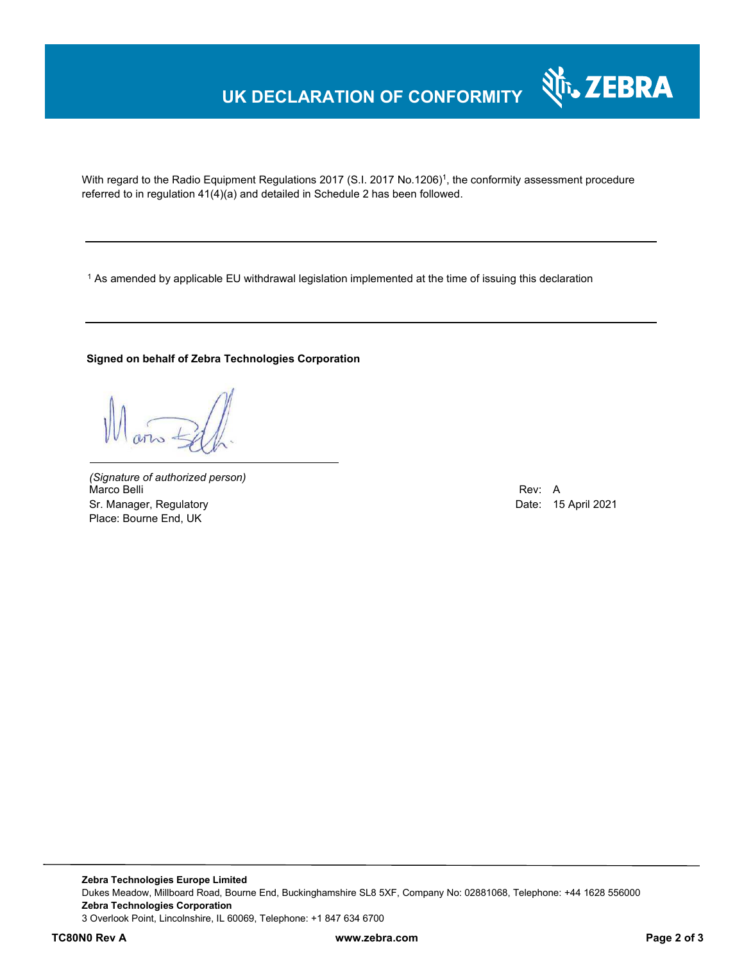# **UK DECLARATION OF CONFORMITY**

With regard to the Radio Equipment Regulations 2017 (S.I. 2017 No.1206)<sup>1</sup>, the conformity assessment procedure referred to in regulation 41(4)(a) and detailed in Schedule 2 has been followed.

 $^{\rm 1}$  As amended by applicable EU withdrawal legislation implemented at the time of issuing this declaration

#### **Signed on behalf of Zebra Technologies Corporation**

*(Signature of authorized person)* Marco Belli Rev: A Sr. Manager, Regulatory **Date: 15 April 2021** Place: Bourne End, UK

Nr. ZEBRA